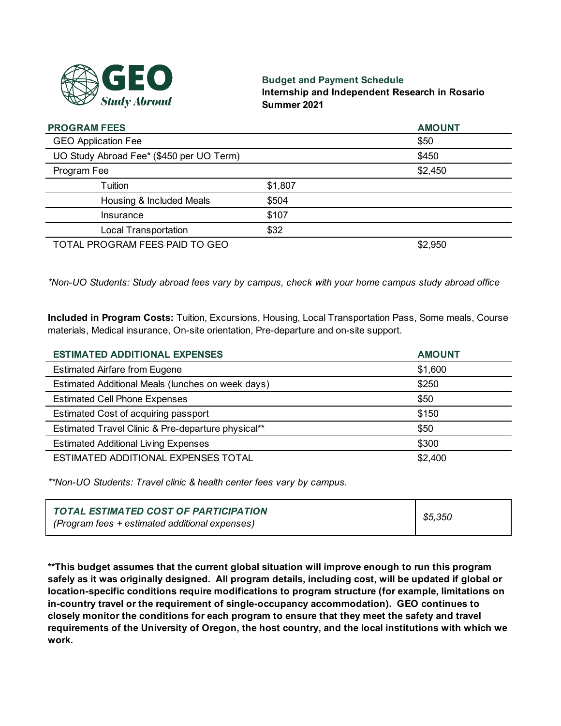

### **Budget and Payment Schedule**

**Internship and Independent Research in Rosario Summer 2021**

| <b>PROGRAM FEES</b>                      |         | <b>AMOUNT</b> |
|------------------------------------------|---------|---------------|
| <b>GEO Application Fee</b>               |         | \$50          |
| UO Study Abroad Fee* (\$450 per UO Term) |         | \$450         |
| Program Fee                              |         | \$2,450       |
| Tuition                                  | \$1,807 |               |
| Housing & Included Meals                 | \$504   |               |
| Insurance                                | \$107   |               |
| <b>Local Transportation</b>              | \$32    |               |
| TOTAL PROGRAM FEES PAID TO GEO           |         | \$2,950       |

*\*Non-UO Students: Study abroad fees vary by campus, check with your home campus study abroad office*

**Included in Program Costs:** Tuition, Excursions, Housing, Local Transportation Pass, Some meals, Course materials, Medical insurance, On-site orientation, Pre-departure and on-site support.

| <b>ESTIMATED ADDITIONAL EXPENSES</b>               | <b>AMOUNT</b> |
|----------------------------------------------------|---------------|
| <b>Estimated Airfare from Eugene</b>               | \$1,600       |
| Estimated Additional Meals (lunches on week days)  | \$250         |
| <b>Estimated Cell Phone Expenses</b>               | \$50          |
| Estimated Cost of acquiring passport               | \$150         |
| Estimated Travel Clinic & Pre-departure physical** | \$50          |
| <b>Estimated Additional Living Expenses</b>        | \$300         |
| ESTIMATED ADDITIONAL EXPENSES TOTAL                | \$2,400       |

*\*\*Non-UO Students: Travel clinic & health center fees vary by campus.*

| TOTAL ESTIMATED COST OF PARTICIPATION          | \$5,350 |
|------------------------------------------------|---------|
| (Program fees + estimated additional expenses) |         |

**\*\*This budget assumes that the current global situation will improve enough to run this program safely as it was originally designed. All program details, including cost, will be updated if global or location-specific conditions require modifications to program structure (for example, limitations on in-country travel or the requirement of single-occupancy accommodation). GEO continues to closely monitor the conditions for each program to ensure that they meet the safety and travel requirements of the University of Oregon, the host country, and the local institutions with which we work.**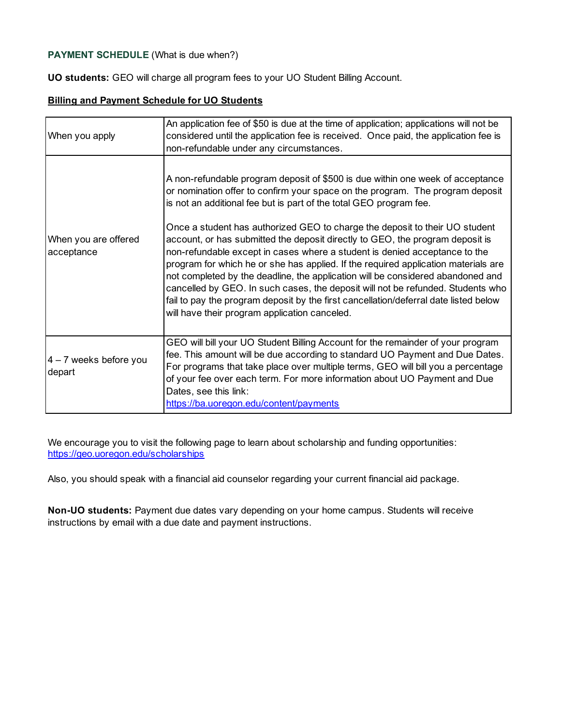# **PAYMENT SCHEDULE** (What is due when?)

**UO students:** GEO will charge all program fees to your UO Student Billing Account.

### **Billing and Payment Schedule for UO Students**

| When you apply                     | An application fee of \$50 is due at the time of application; applications will not be<br>considered until the application fee is received. Once paid, the application fee is<br>non-refundable under any circumstances.                                                                                                                                                                                                                                                                                                                                                                                                                                                                                                                                                                                                                                                                 |  |  |
|------------------------------------|------------------------------------------------------------------------------------------------------------------------------------------------------------------------------------------------------------------------------------------------------------------------------------------------------------------------------------------------------------------------------------------------------------------------------------------------------------------------------------------------------------------------------------------------------------------------------------------------------------------------------------------------------------------------------------------------------------------------------------------------------------------------------------------------------------------------------------------------------------------------------------------|--|--|
| When you are offered<br>acceptance | A non-refundable program deposit of \$500 is due within one week of acceptance<br>or nomination offer to confirm your space on the program. The program deposit<br>is not an additional fee but is part of the total GEO program fee.<br>Once a student has authorized GEO to charge the deposit to their UO student<br>account, or has submitted the deposit directly to GEO, the program deposit is<br>non-refundable except in cases where a student is denied acceptance to the<br>program for which he or she has applied. If the required application materials are<br>not completed by the deadline, the application will be considered abandoned and<br>cancelled by GEO. In such cases, the deposit will not be refunded. Students who<br>fail to pay the program deposit by the first cancellation/deferral date listed below<br>will have their program application canceled. |  |  |
| $4 - 7$ weeks before you<br>depart | GEO will bill your UO Student Billing Account for the remainder of your program<br>fee. This amount will be due according to standard UO Payment and Due Dates.<br>For programs that take place over multiple terms, GEO will bill you a percentage<br>of your fee over each term. For more information about UO Payment and Due<br>Dates, see this link:<br>https://ba.uoregon.edu/content/payments                                                                                                                                                                                                                                                                                                                                                                                                                                                                                     |  |  |

We encourage you to visit the following page to learn about scholarship and funding opportunities: https://geo.uoregon.edu/scholarships

Also, you should speak with a financial aid counselor regarding your current financial aid package.

**Non-UO students:** Payment due dates vary depending on your home campus. Students will receive instructions by email with a due date and payment instructions.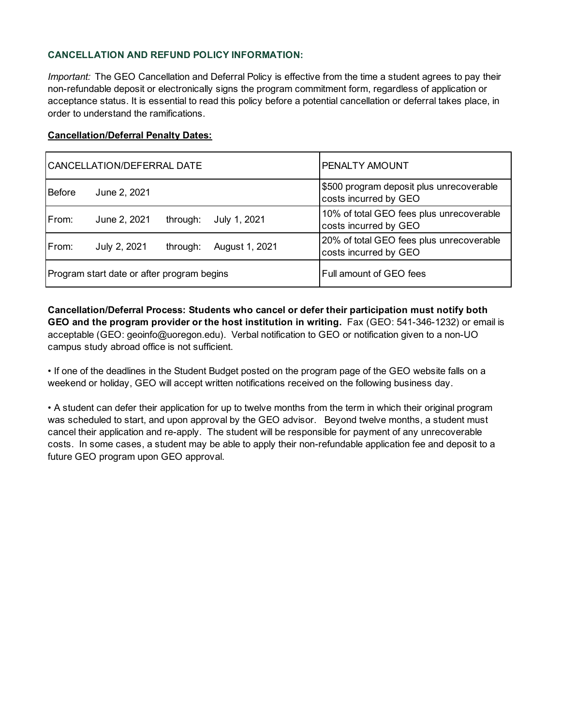# **CANCELLATION AND REFUND POLICY INFORMATION:**

*Important:* The GEO Cancellation and Deferral Policy is effective from the time a student agrees to pay their non-refundable deposit or electronically signs the program commitment form, regardless of application or acceptance status. It is essential to read this policy before a potential cancellation or deferral takes place, in order to understand the ramifications.

#### **Cancellation/Deferral Penalty Dates:**

| CANCELLATION/DEFERRAL DATE                 |              | <b>IPENALTY AMOUNT</b>  |                |                                                                   |
|--------------------------------------------|--------------|-------------------------|----------------|-------------------------------------------------------------------|
| Before                                     | June 2, 2021 |                         |                | \$500 program deposit plus unrecoverable<br>costs incurred by GEO |
| From:                                      | June 2, 2021 | through:                | July 1, 2021   | 10% of total GEO fees plus unrecoverable<br>costs incurred by GEO |
| From:                                      | July 2, 2021 | through:                | August 1, 2021 | 20% of total GEO fees plus unrecoverable<br>costs incurred by GEO |
| Program start date or after program begins |              | Full amount of GEO fees |                |                                                                   |

**Cancellation/Deferral Process: Students who cancel or defer their participation must notify both GEO and the program provider or the host institution in writing.** Fax (GEO: 541-346-1232) or email is acceptable (GEO: geoinfo@uoregon.edu). Verbal notification to GEO or notification given to a non-UO campus study abroad office is not sufficient.

• If one of the deadlines in the Student Budget posted on the program page of the GEO website falls on a weekend or holiday, GEO will accept written notifications received on the following business day.

• A student can defer their application for up to twelve months from the term in which their original program was scheduled to start, and upon approval by the GEO advisor. Beyond twelve months, a student must cancel their application and re-apply. The student will be responsible for payment of any unrecoverable costs. In some cases, a student may be able to apply their non-refundable application fee and deposit to a future GEO program upon GEO approval.